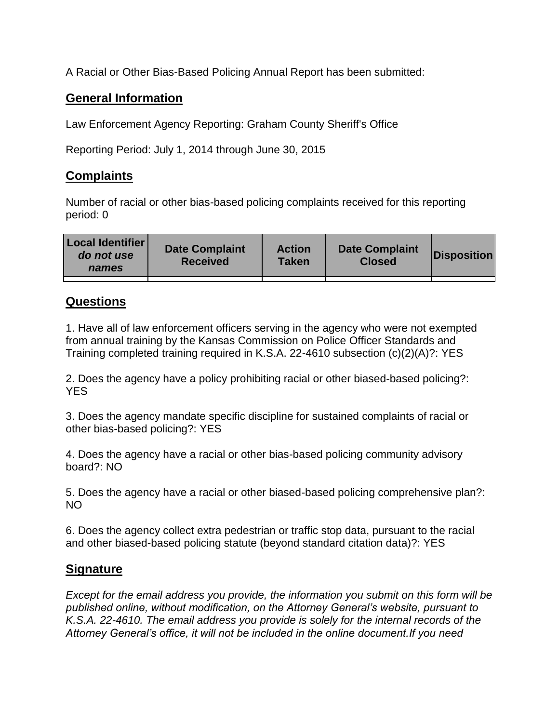A Racial or Other Bias-Based Policing Annual Report has been submitted:

## **General Information**

Law Enforcement Agency Reporting: Graham County Sheriff's Office

Reporting Period: July 1, 2014 through June 30, 2015

## **Complaints**

Number of racial or other bias-based policing complaints received for this reporting period: 0

| <b>Local Identifier</b><br>do not use<br>names | <b>Date Complaint</b><br><b>Received</b> | <b>Action</b><br><b>Taken</b> | <b>Date Complaint</b><br><b>Closed</b> | Disposition |
|------------------------------------------------|------------------------------------------|-------------------------------|----------------------------------------|-------------|
|                                                |                                          |                               |                                        |             |

## **Questions**

1. Have all of law enforcement officers serving in the agency who were not exempted from annual training by the Kansas Commission on Police Officer Standards and Training completed training required in K.S.A. 22-4610 subsection (c)(2)(A)?: YES

2. Does the agency have a policy prohibiting racial or other biased-based policing?: YES

3. Does the agency mandate specific discipline for sustained complaints of racial or other bias-based policing?: YES

4. Does the agency have a racial or other bias-based policing community advisory board?: NO

5. Does the agency have a racial or other biased-based policing comprehensive plan?: NO

6. Does the agency collect extra pedestrian or traffic stop data, pursuant to the racial and other biased-based policing statute (beyond standard citation data)?: YES

## **Signature**

*Except for the email address you provide, the information you submit on this form will be published online, without modification, on the Attorney General's website, pursuant to K.S.A. 22-4610. The email address you provide is solely for the internal records of the Attorney General's office, it will not be included in the online document.If you need*